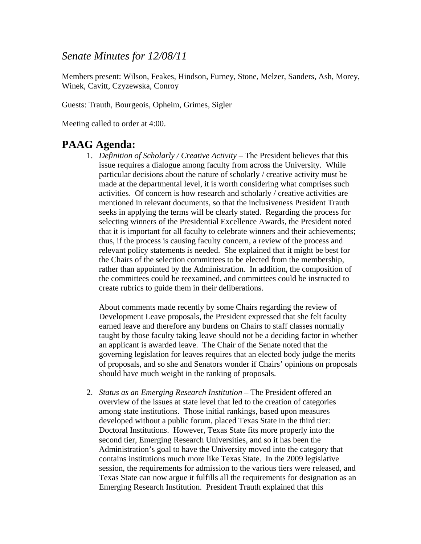#### *Senate Minutes for 12/08/11*

Members present: Wilson, Feakes, Hindson, Furney, Stone, Melzer, Sanders, Ash, Morey, Winek, Cavitt, Czyzewska, Conroy

Guests: Trauth, Bourgeois, Opheim, Grimes, Sigler

Meeting called to order at 4:00.

### **PAAG Agenda:**

1. *Definition of Scholarly / Creative Activity –* The President believes that this issue requires a dialogue among faculty from across the University. While particular decisions about the nature of scholarly / creative activity must be made at the departmental level, it is worth considering what comprises such activities. Of concern is how research and scholarly / creative activities are mentioned in relevant documents, so that the inclusiveness President Trauth seeks in applying the terms will be clearly stated. Regarding the process for selecting winners of the Presidential Excellence Awards, the President noted that it is important for all faculty to celebrate winners and their achievements; thus, if the process is causing faculty concern, a review of the process and relevant policy statements is needed. She explained that it might be best for the Chairs of the selection committees to be elected from the membership, rather than appointed by the Administration. In addition, the composition of the committees could be reexamined, and committees could be instructed to create rubrics to guide them in their deliberations.

About comments made recently by some Chairs regarding the review of Development Leave proposals, the President expressed that she felt faculty earned leave and therefore any burdens on Chairs to staff classes normally taught by those faculty taking leave should not be a deciding factor in whether an applicant is awarded leave. The Chair of the Senate noted that the governing legislation for leaves requires that an elected body judge the merits of proposals, and so she and Senators wonder if Chairs' opinions on proposals should have much weight in the ranking of proposals.

2. *Status as an Emerging Research Institution –* The President offered an overview of the issues at state level that led to the creation of categories among state institutions. Those initial rankings, based upon measures developed without a public forum, placed Texas State in the third tier: Doctoral Institutions. However, Texas State fits more properly into the second tier, Emerging Research Universities, and so it has been the Administration's goal to have the University moved into the category that contains institutions much more like Texas State. In the 2009 legislative session, the requirements for admission to the various tiers were released, and Texas State can now argue it fulfills all the requirements for designation as an Emerging Research Institution. President Trauth explained that this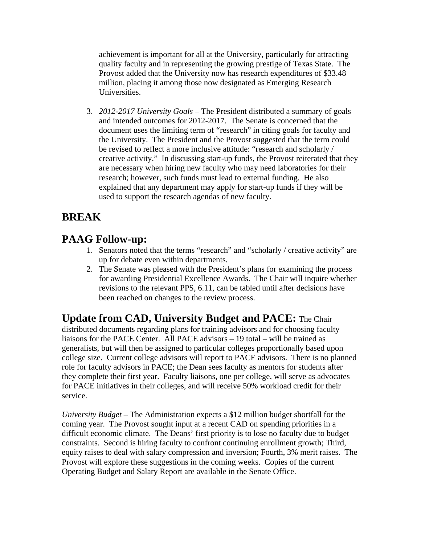achievement is important for all at the University, particularly for attracting quality faculty and in representing the growing prestige of Texas State. The Provost added that the University now has research expenditures of \$33.48 million, placing it among those now designated as Emerging Research Universities.

3. *2012-2017 University Goals –* The President distributed a summary of goals and intended outcomes for 2012-2017. The Senate is concerned that the document uses the limiting term of "research" in citing goals for faculty and the University. The President and the Provost suggested that the term could be revised to reflect a more inclusive attitude: "research and scholarly / creative activity." In discussing start-up funds, the Provost reiterated that they are necessary when hiring new faculty who may need laboratories for their research; however, such funds must lead to external funding. He also explained that any department may apply for start-up funds if they will be used to support the research agendas of new faculty.

# **BREAK**

## **PAAG Follow-up:**

- 1. Senators noted that the terms "research" and "scholarly / creative activity" are up for debate even within departments.
- 2. The Senate was pleased with the President's plans for examining the process for awarding Presidential Excellence Awards. The Chair will inquire whether revisions to the relevant PPS, 6.11, can be tabled until after decisions have been reached on changes to the review process.

#### **Update from CAD, University Budget and PACE:** The Chair

distributed documents regarding plans for training advisors and for choosing faculty liaisons for the PACE Center. All PACE advisors – 19 total – will be trained as generalists, but will then be assigned to particular colleges proportionally based upon college size. Current college advisors will report to PACE advisors. There is no planned role for faculty advisors in PACE; the Dean sees faculty as mentors for students after they complete their first year. Faculty liaisons, one per college, will serve as advocates for PACE initiatives in their colleges, and will receive 50% workload credit for their service.

*University Budget –* The Administration expects a \$12 million budget shortfall for the coming year. The Provost sought input at a recent CAD on spending priorities in a difficult economic climate. The Deans' first priority is to lose no faculty due to budget constraints. Second is hiring faculty to confront continuing enrollment growth; Third, equity raises to deal with salary compression and inversion; Fourth, 3% merit raises. The Provost will explore these suggestions in the coming weeks. Copies of the current Operating Budget and Salary Report are available in the Senate Office.